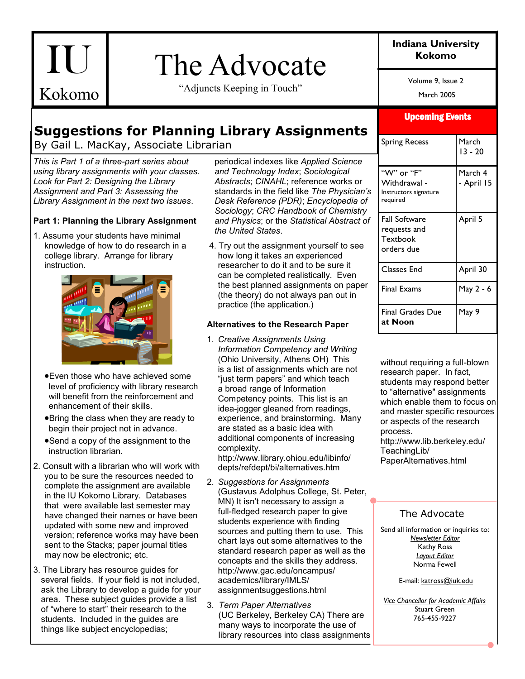# The Advocate  $\qquad \qquad$ <sup>Kokomo</sup>

"Adjuncts Keeping in Touch"

# **Indiana University**

Volume 9, Issue 2

March 2005

# **Suggestions for Planning Library Assignments**

By Gail L. MacKay, Associate Librarian

*This is Part 1 of a three-part series about using library assignments with your classes. Look for Part 2: Designing the Library Assignment and Part 3: Assessing the Library Assignment in the next two issues*.

IU

Kokomo

### **Part 1: Planning the Library Assignment**

1. Assume your students have minimal knowledge of how to do research in a college library. Arrange for library instruction.



- Even those who have achieved some level of proficiency with library research will benefit from the reinforcement and enhancement of their skills.
- Bring the class when they are ready to begin their project not in advance.
- Send a copy of the assignment to the instruction librarian.
- 2. Consult with a librarian who will work with you to be sure the resources needed to complete the assignment are available in the IU Kokomo Library. Databases that were available last semester may have changed their names or have been updated with some new and improved version; reference works may have been sent to the Stacks; paper journal titles may now be electronic; etc.
- 3. The Library has resource guides for several fields. If your field is not included, ask the Library to develop a guide for your area. These subject guides provide a list of "where to start" their research to the students. Included in the guides are things like subject encyclopedias;

periodical indexes like *Applied Science and Technology Index*; *Sociological Abstracts*; *CINAHL*; reference works or standards in the field like *The Physician's Desk Reference (PDR)*; *Encyclopedia of Sociology*; *CRC Handbook of Chemistry and Physics*; or the *Statistical Abstract of the United States*.

4. Try out the assignment yourself to see how long it takes an experienced researcher to do it and to be sure it can be completed realistically. Even the best planned assignments on paper (the theory) do not always pan out in practice (the application.)

#### **Alternatives to the Research Paper**

1. *Creative Assignments Using Information Competency and Writing*  (Ohio University, Athens OH) This is a list of assignments which are not "just term papers" and which teach a broad range of Information Competency points. This list is an idea-jogger gleaned from readings, experience, and brainstorming. Many are stated as a basic idea with additional components of increasing complexity.

http://www.library.ohiou.edu/libinfo/ depts/refdept/bi/alternatives.htm

- 2. *Suggestions for Assignments*  (Gustavus Adolphus College, St. Peter, MN) It isn't necessary to assign a full-fledged research paper to give students experience with finding sources and putting them to use. This chart lays out some alternatives to the standard research paper as well as the concepts and the skills they address. http://www.gac.edu/oncampus/ academics/library/IMLS/ assignmentsuggestions.html
- 3. *Term Paper Alternatives*  (UC Berkeley, Berkeley CA) There are many ways to incorporate the use of library resources into class assignments

### Upcoming Events

| Spring Recess                                                   | March<br>13 - 20      |
|-----------------------------------------------------------------|-----------------------|
| "W" or "F"<br>Withdrawal -<br>Instructors signature<br>required | March 4<br>- April 15 |
| <b>Fall Software</b><br>requests and<br>Textbook<br>orders due  | April 5               |
| <b>Classes End</b>                                              | April 30              |
| <b>Final Exams</b>                                              | May 2 - 6             |
| <b>Final Grades Due</b><br>at Noon                              | May 9                 |

without requiring a full-blown research paper. In fact, students may respond better to "alternative" assignments which enable them to focus on and master specific resources or aspects of the research process. http://www.lib.berkeley.edu/ TeachingLib/ PaperAlternatives.html

### The Advocate

Send all information or inquiries to: *Newsletter Editor* Kathy Ross *Layout Editor* Norma Fewell

E-mail: katross@iuk.edu

*Vice Chancellor for Academic Affairs* Stuart Green 765-455-9227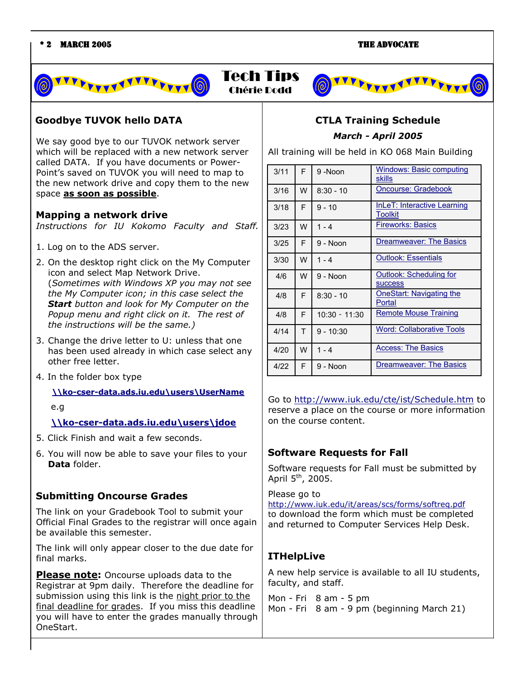

#### **Goodbye TUVOK hello DATA**

We say good bye to our TUVOK network server which will be replaced with a new network server called DATA. If you have documents or Power-Point's saved on TUVOK you will need to map to the new network drive and copy them to the new space **as soon as possible**.

#### **Mapping a network drive**

*Instructions for IU Kokomo Faculty and Staff.*

1. Log on to the ADS server.

2. On the desktop right click on the My Computer icon and select Map Network Drive. (*Sometimes with Windows XP you may not see the My Computer icon; in this case select the Start button and look for My Computer on the Popup menu and right click on it. The rest of the instructions will be the same.)*

- 3. Change the drive letter to U: unless that one has been used already in which case select any other free letter.
- 4. In the folder box type

 **[\\ko-cser-data.ads.iu.edu\users\UserName](file:\\ko-cser-data.ads.iu.edu\users\UserName)**

#### e.g

#### **[\\ko-cser-data.ads.iu.edu\users\jdoe](file:///C:\users\jdoe)**

- 5. Click Finish and wait a few seconds.
- 6. You will now be able to save your files to your **Data** folder.

#### **Submitting Oncourse Grades**

The link on your Gradebook Tool to submit your Official Final Grades to the registrar will once again be available this semester.

The link will only appear closer to the due date for final marks.

**Please note:** Oncourse uploads data to the Registrar at 9pm daily. Therefore the deadline for submission using this link is the night prior to the final deadline for grades. If you miss this deadline you will have to enter the grades manually through OneStart.

## **CTLA Training Schedule** *March - April 2005*

All training will be held in KO 068 Main Building

| 3/11 | F | $9 -$ Noon      | <b>Windows: Basic computing</b><br>skills |
|------|---|-----------------|-------------------------------------------|
| 3/16 | W | $8:30 - 10$     | Oncourse: Gradebook                       |
| 3/18 | F | $9 - 10$        | InLeT: Interactive Learning<br>Toolkit    |
| 3/23 | W | $1 - 4$         | <b>Fireworks: Basics</b>                  |
| 3/25 | F | $9 - N$ on      | Dreamweaver: The Basics                   |
| 3/30 | W | $1 - 4$         | <b>Outlook: Essentials</b>                |
| 4/6  | W | $9 -$ Noon      | Outlook: Scheduling for<br><b>SUCCESS</b> |
| 4/8  | F | $8:30 - 10$     | <b>OneStart: Navigating the</b><br>Portal |
| 4/8  | F | $10:30 - 11:30$ | Remote Mouse Training                     |
| 4/14 | T | $9 - 10:30$     | <b>Word: Collaborative Tools</b>          |
| 4/20 | W | $1 - 4$         | <b>Access: The Basics</b>                 |
| 4/22 | F | $9 -$ Noon      | Dreamweaver: The Basics                   |

Go to <http://www.iuk.edu/cte/ist/Schedule.htm> to reserve a place on the course or more information on the course content.

#### **Software Requests for Fall**

Software requests for Fall must be submitted by April  $5<sup>th</sup>$ , 2005.

#### Please go to

Chérie Dodd

<http://www.iuk.edu/it/areas/scs/forms/softreq.pdf> to download the form which must be completed and returned to Computer Services Help Desk.

### **ITHelpLive**

A new help service is available to all IU students, faculty, and staff.

Mon - Fri 8 am - 5 pm Mon - Fri 8 am - 9 pm (beginning March 21)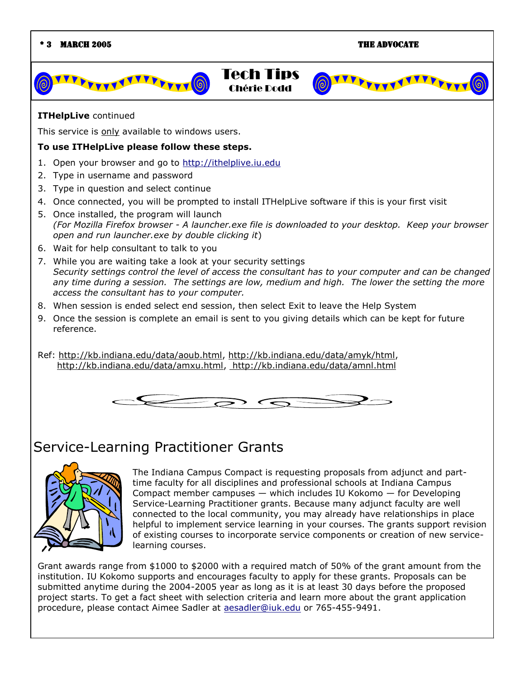#### \* 3 March 2005 The Advocate

FFFFTTTTF





This service is only available to windows users.

#### **To use ITHelpLive please follow these steps.**

- 1. Open your browser and go to [http://ithelplive.iu.edu](http://ithelplive.iu.edu/)
- 2. Type in username and password
- 3. Type in question and select continue
- 4. Once connected, you will be prompted to install ITHelpLive software if this is your first visit
- 5. Once installed, the program will launch *(For Mozilla Firefox browser - A launcher.exe file is downloaded to your desktop. Keep your browser open and run launcher.exe by double clicking it*)
- 6. Wait for help consultant to talk to you
- 7. While you are waiting take a look at your security settings *Security settings control the level of access the consultant has to your computer and can be changed any time during a session. The settings are low, medium and high. The lower the setting the more access the consultant has to your computer.*
- 8. When session is ended select end session, then select Exit to leave the Help System
- 9. Once the session is complete an email is sent to you giving details which can be kept for future reference.

Ref: http://kb.indiana.edu/data/aoub.html, http://kb.indiana.edu/data/amyk/html, http://kb.indiana.edu/data/amxu.html, http://kb.indiana.edu/data/amnl.html



## Service-Learning Practitioner Grants



The Indiana Campus Compact is requesting proposals from adjunct and parttime faculty for all disciplines and professional schools at Indiana Campus Compact member campuses — which includes IU Kokomo — for Developing Service-Learning Practitioner grants. Because many adjunct faculty are well connected to the local community, you may already have relationships in place helpful to implement service learning in your courses. The grants support revision of existing courses to incorporate service components or creation of new servicelearning courses.

Grant awards range from \$1000 to \$2000 with a required match of 50% of the grant amount from the institution. IU Kokomo supports and encourages faculty to apply for these grants. Proposals can be submitted anytime during the 2004-2005 year as long as it is at least 30 days before the proposed project starts. To get a fact sheet with selection criteria and learn more about the grant application procedure, please contact Aimee Sadler at [aesadler@iuk.edu](mailto:aesadler@iuk.edu) or 765-455-9491.